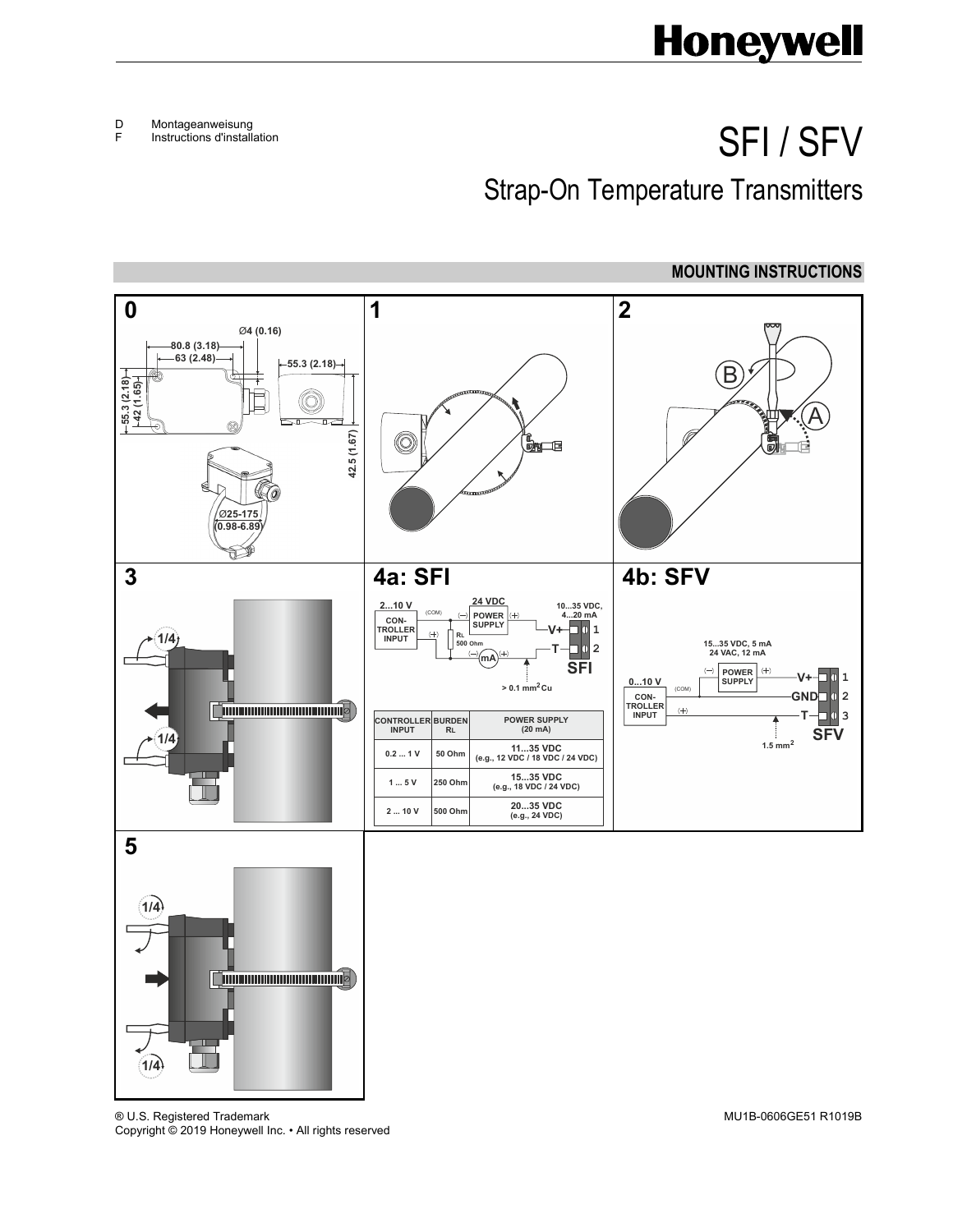## **Honeywell**

D Montageanweisung

F Instructions d'installation

## SFI / SFV

Strap-On Temperature Transmitters



® U.S. Registered Trademark MU1B-0606GE51 R1019B Copyright © 2019 Honeywell Inc. • All rights reserved